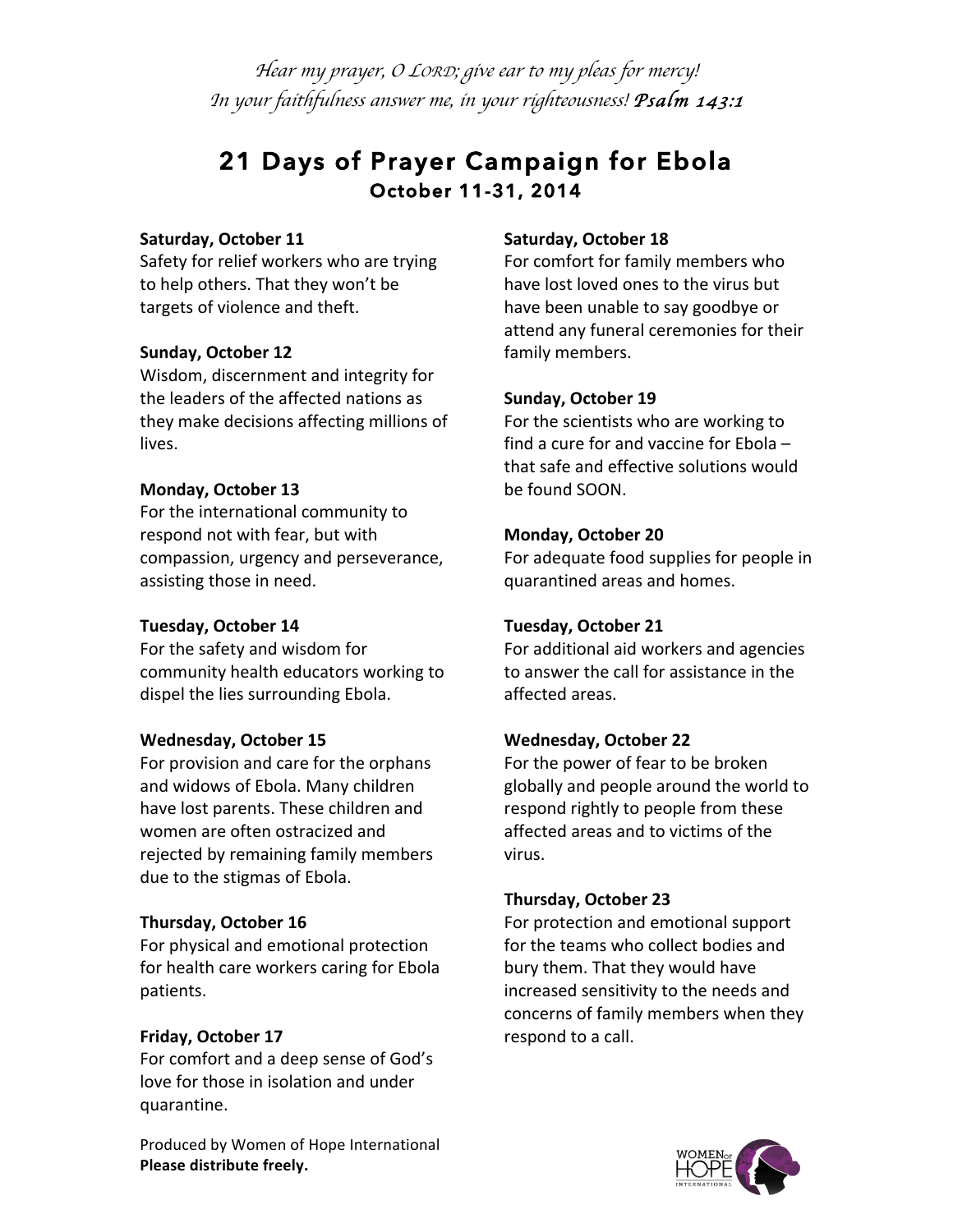*Hear my prayer, <sup>O</sup> LORD; give ear to my pleas for mercy! In your faithfulness answer me, in your righteousness! Psalm 143:1*

# **21 Days of Prayer Campaign for Ebola October 11-31, 2014**

#### **Saturday, October 11**

Safety for relief workers who are trying to help others. That they won't be targets of violence and theft.

# **Sunday, October 12**

Wisdom, discernment and integrity for the leaders of the affected nations as they make decisions affecting millions of lives.

# **Monday, October 13**

For the international community to respond not with fear, but with compassion, urgency and perseverance, assisting those in need.

# **Tuesday, October 14**

For the safety and wisdom for community health educators working to dispel the lies surrounding Ebola.

# **Wednesday, October 15**

For provision and care for the orphans and widows of Ebola. Many children have lost parents. These children and women are often ostracized and rejected by remaining family members due to the stigmas of Ebola.

# **Thursday, October 16**

For physical and emotional protection for health care workers caring for Ebola patients.

# **Friday, October 17**

For comfort and a deep sense of God's love for those in isolation and under quarantine.

Produced by Women of Hope International **Please distribute freely.** 

# **Saturday, October 18**

For comfort for family members who have lost loved ones to the virus but have been unable to say goodbye or attend any funeral ceremonies for their family members.

# **Sunday, October 19**

For the scientists who are working to find a cure for and vaccine for Ebola  $$ that safe and effective solutions would be found SOON.

# **Monday, October 20**

For adequate food supplies for people in quarantined areas and homes.

# **Tuesday, October 21**

For additional aid workers and agencies to answer the call for assistance in the affected areas.

# **Wednesday, October 22**

For the power of fear to be broken globally and people around the world to respond rightly to people from these affected areas and to victims of the virus.

# **Thursday, October 23**

For protection and emotional support for the teams who collect bodies and bury them. That they would have increased sensitivity to the needs and concerns of family members when they respond to a call.